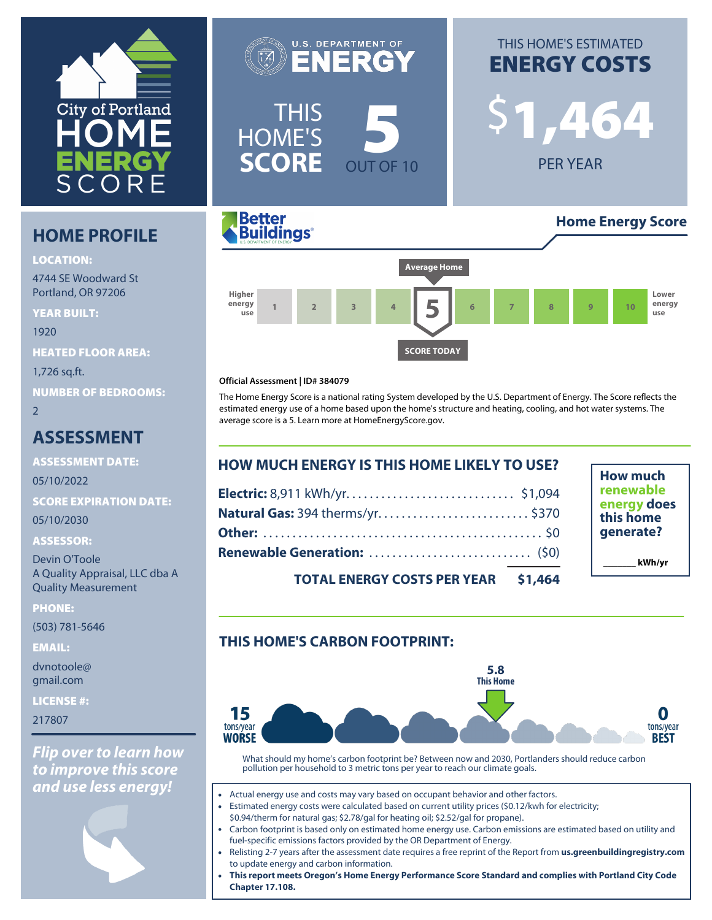

## **HOME PROFILE**

#### **LOCATION:**

4744 SE Woodward St Portland, OR 97206

**YEAR BUILT:** 1920 **HEATED FLOOR AREA:** 1,726 sq.ft. **NUMBER OF BEDROOMS:**  $\overline{2}$ 

## **ASSESSMENT**

**ASSESSMENT DATE:** 05/10/2022

**SCORE EXPIRATION DATE:**

05/10/2030

### **ASSESSOR:**

Devin O'Toole A Quality Appraisal, LLC dba A Quality Measurement

**PHONE:**

(503) 781-5646

**EMAIL:**

dvnotoole@ gmail.com

**LICENSE #:**

217807

*Flip over to learn how to improve this score and use less energy!*

**U.S. DEPARTMENT OF** NERC THIS HOME'S **SCORE OUT OF 10** 

# THIS HOME'S ESTIMATED **ENERGY COSTS**

\$**1,464**

PER YEAR



### **Official Assessment | ID# 384079**

The Home Energy Score is a national rating System developed by the U.S. Department of Energy. The Score reflects the estimated energy use of a home based upon the home's structure and heating, cooling, and hot water systems. The average score is a 5. Learn more at [HomeEnergyScore.gov.](https://homeenergyscore.gov)

| <b>HOW MUCH ENERGY IS THIS HOME LIKELY TO USE?</b> |  |  |
|----------------------------------------------------|--|--|
|                                                    |  |  |
| Natural Gas: 394 therms/yr \$370                   |  |  |
|                                                    |  |  |
|                                                    |  |  |
| TOTAL FUEDCY COSTS BED VEAD AS ASA                 |  |  |

**How much renewable energy does this home generate? \_\_\_\_\_\_\_ kWh/yr**

**TOTAL ENERGY COSTS PER YEAR \$1,464**

## **THIS HOME'S CARBON FOOTPRINT:**



What should my home's carbon footprint be? Between now and 2030, Portlanders should reduce carbon pollution per household to 3 metric tons per year to reach our climate goals.

- Actual energy use and costs may vary based on occupant behavior and other factors.
- Estimated energy costs were calculated based on current utility prices (\$0.12/kwh for electricity; \$0.94/therm for natural gas; \$2.78/gal for heating oil; \$2.52/gal for propane).
- Carbon footprint is based only on estimated home energy use. Carbon emissions are estimated based on utility and fuel-specific emissions factors provided by the OR Department of Energy.
- Relisting 2-7 years after the assessment date requires a free reprint of the Report from **[us.greenbuildingregistry.com](https://us.greenbuildingregistry.com)** to update energy and carbon information.
- **This report meets Oregon's Home Energy Performance Score Standard and complies with Portland City Code Chapter 17.108.**